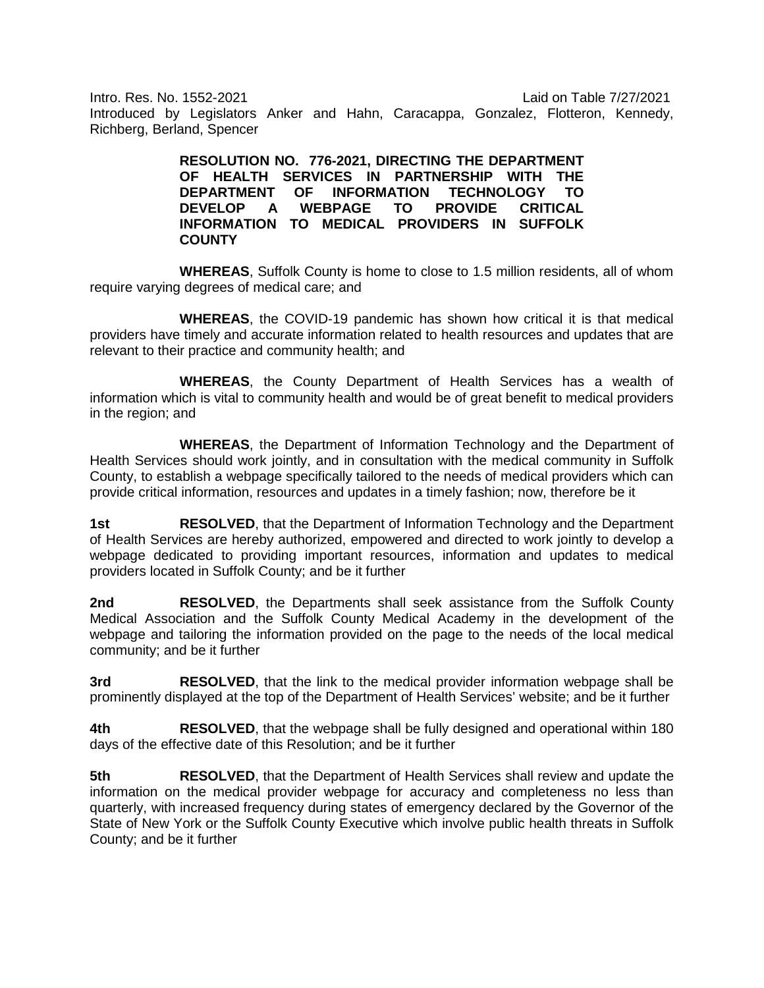Intro. Res. No. 1552-2021 Laid on Table 7/27/2021 Introduced by Legislators Anker and Hahn, Caracappa, Gonzalez, Flotteron, Kennedy, Richberg, Berland, Spencer

> **RESOLUTION NO. 776-2021, DIRECTING THE DEPARTMENT OF HEALTH SERVICES IN PARTNERSHIP WITH THE DEPARTMENT OF INFORMATION TECHNOLOGY TO DEVELOP A WEBPAGE TO PROVIDE CRITICAL INFORMATION TO MEDICAL PROVIDERS IN SUFFOLK COUNTY**

**WHEREAS**, Suffolk County is home to close to 1.5 million residents, all of whom require varying degrees of medical care; and

**WHEREAS**, the COVID-19 pandemic has shown how critical it is that medical providers have timely and accurate information related to health resources and updates that are relevant to their practice and community health; and

**WHEREAS**, the County Department of Health Services has a wealth of information which is vital to community health and would be of great benefit to medical providers in the region; and

**WHEREAS**, the Department of Information Technology and the Department of Health Services should work jointly, and in consultation with the medical community in Suffolk County, to establish a webpage specifically tailored to the needs of medical providers which can provide critical information, resources and updates in a timely fashion; now, therefore be it

**1st RESOLVED**, that the Department of Information Technology and the Department of Health Services are hereby authorized, empowered and directed to work jointly to develop a webpage dedicated to providing important resources, information and updates to medical providers located in Suffolk County; and be it further

**2nd RESOLVED**, the Departments shall seek assistance from the Suffolk County Medical Association and the Suffolk County Medical Academy in the development of the webpage and tailoring the information provided on the page to the needs of the local medical community; and be it further

**3rd RESOLVED**, that the link to the medical provider information webpage shall be prominently displayed at the top of the Department of Health Services' website; and be it further

**4th RESOLVED**, that the webpage shall be fully designed and operational within 180 days of the effective date of this Resolution; and be it further

**5th RESOLVED**, that the Department of Health Services shall review and update the information on the medical provider webpage for accuracy and completeness no less than quarterly, with increased frequency during states of emergency declared by the Governor of the State of New York or the Suffolk County Executive which involve public health threats in Suffolk County; and be it further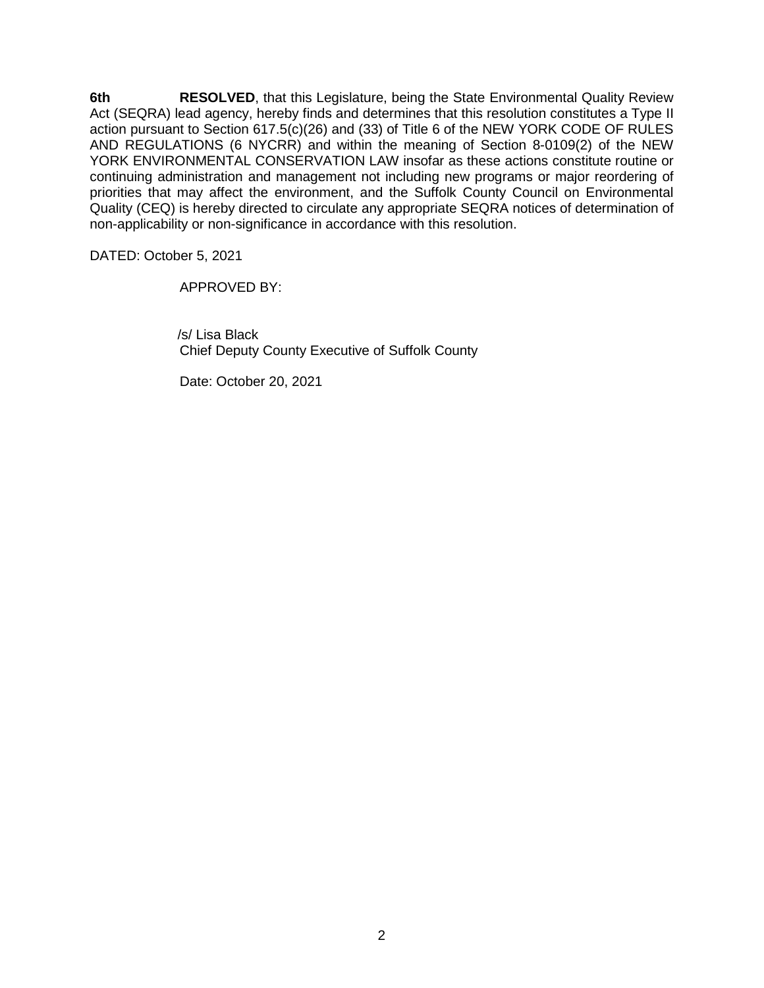**6th RESOLVED**, that this Legislature, being the State Environmental Quality Review Act (SEQRA) lead agency, hereby finds and determines that this resolution constitutes a Type II action pursuant to Section 617.5(c)(26) and (33) of Title 6 of the NEW YORK CODE OF RULES AND REGULATIONS (6 NYCRR) and within the meaning of Section 8-0109(2) of the NEW YORK ENVIRONMENTAL CONSERVATION LAW insofar as these actions constitute routine or continuing administration and management not including new programs or major reordering of priorities that may affect the environment, and the Suffolk County Council on Environmental Quality (CEQ) is hereby directed to circulate any appropriate SEQRA notices of determination of non-applicability or non-significance in accordance with this resolution.

DATED: October 5, 2021

APPROVED BY:

 /s/ Lisa Black Chief Deputy County Executive of Suffolk County

Date: October 20, 2021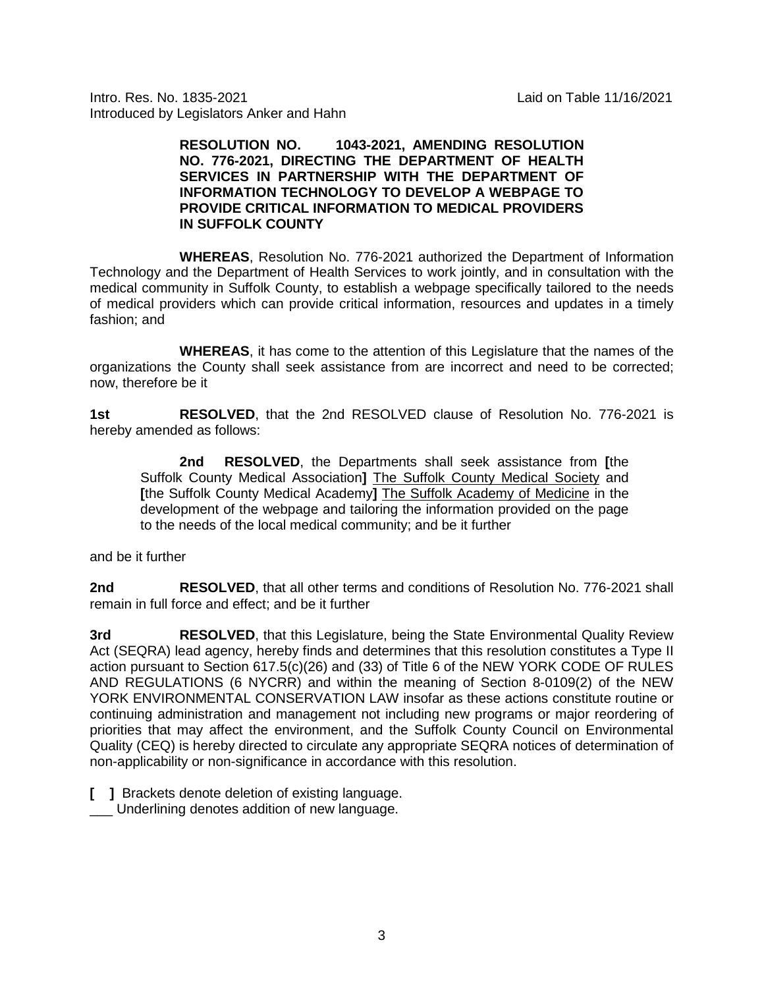Intro. Res. No. 1835-2021 Laid on Table 11/16/2021 Introduced by Legislators Anker and Hahn

> **RESOLUTION NO. 1043-2021, AMENDING RESOLUTION NO. 776-2021, DIRECTING THE DEPARTMENT OF HEALTH SERVICES IN PARTNERSHIP WITH THE DEPARTMENT OF INFORMATION TECHNOLOGY TO DEVELOP A WEBPAGE TO PROVIDE CRITICAL INFORMATION TO MEDICAL PROVIDERS IN SUFFOLK COUNTY**

**WHEREAS**, Resolution No. 776-2021 authorized the Department of Information Technology and the Department of Health Services to work jointly, and in consultation with the medical community in Suffolk County, to establish a webpage specifically tailored to the needs of medical providers which can provide critical information, resources and updates in a timely fashion; and

**WHEREAS**, it has come to the attention of this Legislature that the names of the organizations the County shall seek assistance from are incorrect and need to be corrected; now, therefore be it

**1st RESOLVED**, that the 2nd RESOLVED clause of Resolution No. 776-2021 is hereby amended as follows:

**2nd RESOLVED**, the Departments shall seek assistance from **[**the Suffolk County Medical Association**]** The Suffolk County Medical Society and **[**the Suffolk County Medical Academy**]** The Suffolk Academy of Medicine in the development of the webpage and tailoring the information provided on the page to the needs of the local medical community; and be it further

and be it further

**2nd RESOLVED**, that all other terms and conditions of Resolution No. 776-2021 shall remain in full force and effect; and be it further

**3rd RESOLVED**, that this Legislature, being the State Environmental Quality Review Act (SEQRA) lead agency, hereby finds and determines that this resolution constitutes a Type II action pursuant to Section 617.5(c)(26) and (33) of Title 6 of the NEW YORK CODE OF RULES AND REGULATIONS (6 NYCRR) and within the meaning of Section 8-0109(2) of the NEW YORK ENVIRONMENTAL CONSERVATION LAW insofar as these actions constitute routine or continuing administration and management not including new programs or major reordering of priorities that may affect the environment, and the Suffolk County Council on Environmental Quality (CEQ) is hereby directed to circulate any appropriate SEQRA notices of determination of non-applicability or non-significance in accordance with this resolution.

**[ ]** Brackets denote deletion of existing language.

\_\_\_ Underlining denotes addition of new language.